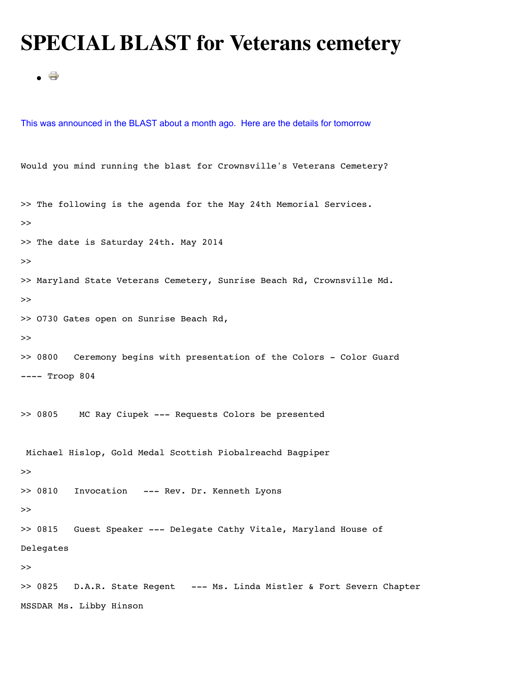## **SPECIAL BLAST for Veterans cemetery**

```
\bullet \oplus
```
This was announced in the BLAST about a month ago. Here are the details for tomorrow

Would you mind running the blast for Crownsville's Veterans Cemetery? >> The following is the agenda for the May 24th Memorial Services. >> >> The date is Saturday 24th. May 2014 >> >> Maryland State Veterans Cemetery, Sunrise Beach Rd, Crownsville Md. >> >> O730 Gates open on Sunrise Beach Rd, >> >> 0800 Ceremony begins with presentation of the Colors - Color Guard ---- Troop 804 >> 0805 MC Ray Ciupek --- Requests Colors be presented Michael Hislop, Gold Medal Scottish Piobalreachd Bagpiper >> >> 0810 Invocation --- Rev. Dr. Kenneth Lyons  $\rightarrow$ >> 0815 Guest Speaker --- Delegate Cathy Vitale, Maryland House of Delegates >> >> 0825 D.A.R. State Regent --- Ms. Linda Mistler & Fort Severn Chapter MSSDAR Ms. Libby Hinson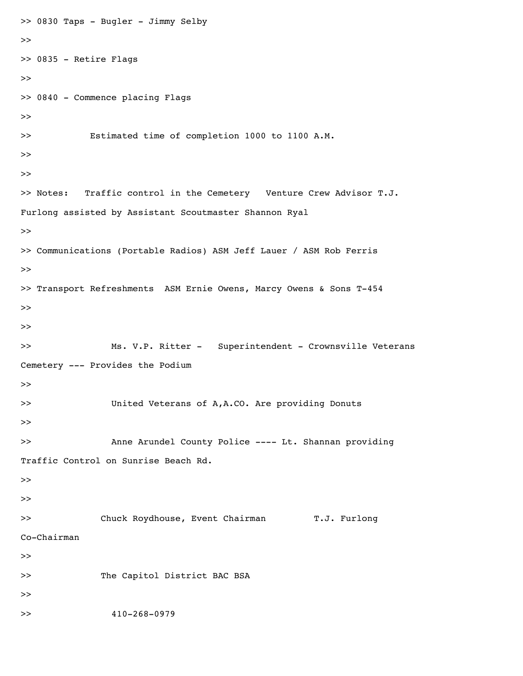```
>> 0830 Taps - Bugler - Jimmy Selby
>> 
>> 0835 - Retire Flags
>> 
>> 0840 - Commence placing Flags
>> 
>> Estimated time of completion 1000 to 1100 A.M.
>> 
>> 
>> Notes: Traffic control in the Cemetery Venture Crew Advisor T.J.
Furlong assisted by Assistant Scoutmaster Shannon Ryal
>> 
>> Communications (Portable Radios) ASM Jeff Lauer / ASM Rob Ferris
>> 
>> Transport Refreshments ASM Ernie Owens, Marcy Owens & Sons T-454
>> 
>> 
>> Ms. V.P. Ritter - Superintendent - Crownsville Veterans
Cemetery --- Provides the Podium
>> 
>> United Veterans of A,A.CO. Are providing Donuts
>> 
>> Anne Arundel County Police ---- Lt. Shannan providing
Traffic Control on Sunrise Beach Rd.
>> 
>> 
>> Chuck Roydhouse, Event Chairman T.J. Furlong
Co-Chairman
>> 
>> The Capitol District BAC BSA
>> 
>> 410-268-0979
```